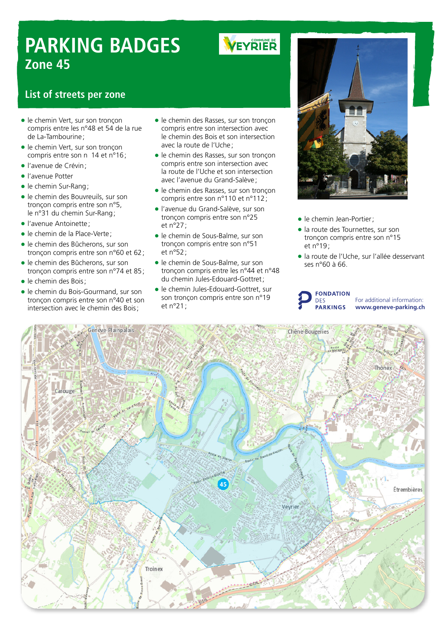# **PARKING BADGES Zone 45**

# **VEYRIER**

### **List of streets per zone**

- le chemin Vert, sur son tronçon compris entre les n°48 et 54 de la rue de La-Tambourine;
- le chemin Vert, sur son tronçon compris entre son n 14 et n°16;
- l'avenue de Crévin;
- l'avenue Potter
- le chemin Sur-Rang;
- le chemin des Bouvreuils, sur son tronçon compris entre son n°5, le n°31 du chemin Sur-Rang;
- l'avenue Antoinette ;
- le chemin de la Place-Verte;
- le chemin des Bûcherons, sur son tronçon compris entre son n°60 et 62;
- le chemin des Bûcherons, sur son tronçon compris entre son n°74 et 85;
- le chemin des Bois;
- $\bullet$ le chemin du Bois-Gourmand, sur son tronçon compris entre son n°40 et son intersection avec le chemin des Bois;
- le chemin des Rasses, sur son tronçon compris entre son intersection avec le chemin des Bois et son intersection avec la route de l'Uche;
- le chemin des Rasses, sur son tronçon compris entre son intersection avec la route de l'Uche et son intersection avec l'avenue du Grand-Salève ;
- le chemin des Rasses, sur son tronçon compris entre son n°110 et n°112;
- l'avenue du Grand-Salève, sur son tronçon compris entre son n°25 et n°27;
- le chemin de Sous-Balme, sur son tronçon compris entre son n°51 et n°52;
- le chemin de Sous-Balme, sur son tronçon compris entre les n°44 et n°48 du chemin Jules-Edouard-Gottret;
- le chemin Jules-Edouard-Gottret, sur son tronçon compris entre son n°19 et n°21;



- le chemin Jean-Portier;
- la route des Tournettes, sur son tronçon compris entre son n°15 et n°19;
- la route de l'Uche, sur l'allée desservant ses n°60 à 66.

#### **FONDATION DES PARKINGS**

For additional information: **www.geneve-parking.ch**